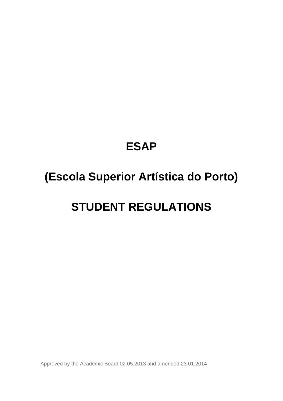# **ESAP**

# **(Escola Superior Artística do Porto)**

# **STUDENT REGULATIONS**

Approved by the Academic Board 02.05.2013 and amended 23.01.2014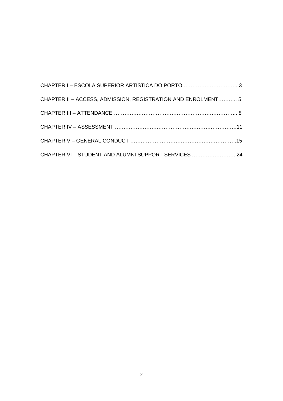| CHAPTER I - ESCOLA SUPERIOR ARTÍSTICA DO PORTO  3            |  |
|--------------------------------------------------------------|--|
| CHAPTER II - ACCESS, ADMISSION, REGISTRATION AND ENROLMENT 5 |  |
|                                                              |  |
|                                                              |  |
|                                                              |  |
| CHAPTER VI - STUDENT AND ALUMNI SUPPORT SERVICES  24         |  |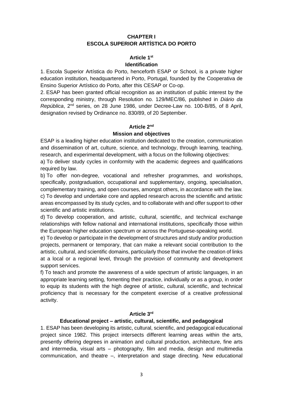# **CHAPTER I ESCOLA SUPERIOR ARTÍSTICA DO PORTO**

#### **Article 1st**

#### **Identification**

1. Escola Superior Artística do Porto, henceforth ESAP or School, is a private higher education institution, headquartered in Porto, Portugal, founded by the Cooperativa de Ensino Superior Artístico do Porto, after this CESAP or Co-op.

2. ESAP has been granted official recognition as an institution of public interest by the corresponding ministry, through Resolution no. 129/MEC/86, published in *Diário da República*, 2nd series, on 28 June 1986, under Decree-Law no. 100-B/85, of 8 April, designation revised by Ordinance no. 830/89, of 20 September.

## **Article 2nd**

## **Mission and objectives**

ESAP is a leading higher education institution dedicated to the creation, communication and dissemination of art, culture, science, and technology, through learning, teaching, research, and experimental development, with a focus on the following objectives:

a) To deliver study cycles in conformity with the academic degrees and qualifications required by law.

b) To offer non-degree, vocational and refresher programmes, and workshops, specifically, postgraduation, occupational and supplementary, ongoing, specialisation, complementary training, and open courses, amongst others, in accordance with the law. c) To develop and undertake core and applied research across the scientific and artistic areas encompassed by its study cycles, and to collaborate with and offer support to other scientific and artistic institutions.

d) To develop cooperation, and artistic, cultural, scientific, and technical exchange relationships with fellow national and international institutions, specifically those within the European higher education spectrum or across the Portuguese-speaking world.

e) To develop or participate in the development of structures and study and/or production projects, permanent or temporary, that can make a relevant social contribution to the artistic, cultural, and scientific domains, particularly those that involve the creation of links at a local or a regional level, through the provision of community and development support services.

f) To teach and promote the awareness of a wide spectrum of artistic languages, in an appropriate learning setting, fomenting their practice, individually or as a group, in order to equip its students with the high degree of artistic, cultural, scientific, and technical proficiency that is necessary for the competent exercise of a creative professional activity.

# **Article 3rd**

#### **Educational project – artistic, cultural, scientific, and pedagogical**

1. ESAP has been developing its artistic, cultural, scientific, and pedagogical educational project since 1982. This project intersects different learning areas within the arts, presently offering degrees in animation and cultural production, architecture, fine arts and intermedia, visual arts – photography, film and media, design and multimedia communication, and theatre –, interpretation and stage directing. New educational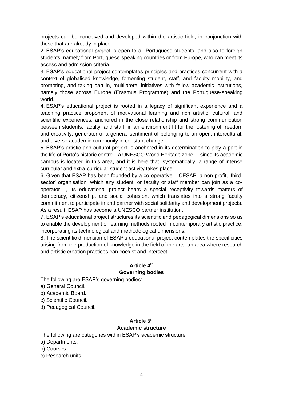projects can be conceived and developed within the artistic field, in conjunction with those that are already in place.

2. ESAP's educational project is open to all Portuguese students, and also to foreign students, namely from Portuguese-speaking countries or from Europe, who can meet its access and admission criteria.

3. ESAP's educational project contemplates principles and practices concurrent with a context of globalised knowledge, fomenting student, staff, and faculty mobility, and promoting, and taking part in, multilateral initiatives with fellow academic institutions, namely those across Europe (Erasmus Programme) and the Portuguese-speaking world.

4. ESAP's educational project is rooted in a legacy of significant experience and a teaching practice proponent of motivational learning and rich artistic, cultural, and scientific experiences, anchored in the close relationship and strong communication between students, faculty, and staff, in an environment fit for the fostering of freedom and creativity, generator of a general sentiment of belonging to an open, intercultural, and diverse academic community in constant change.

5. ESAP's artistic and cultural project is anchored in its determination to play a part in the life of Porto's historic centre – a UNESCO World Heritage zone –, since its academic campus is located in this area, and it is here that, systematically, a range of intense curricular and extra-curricular student activity takes place.

6. Given that ESAP has been founded by a co-operative – CESAP, a non-profit, 'thirdsector' organisation, which any student, or faculty or staff member can join as a cooperator –, its educational project bears a special receptivity towards matters of democracy, citizenship, and social cohesion, which translates into a strong faculty commitment to participate in and partner with social solidarity and development projects. As a result, ESAP has become a UNESCO partner institution.

7. ESAP's educational project structures its scientific and pedagogical dimensions so as to enable the development of learning methods rooted in contemporary artistic practice, incorporating its technological and methodological dimensions.

8. The scientific dimension of ESAP's educational project contemplates the specificities arising from the production of knowledge in the field of the arts, an area where research and artistic creation practices can coexist and intersect.

# **Article 4th Governing bodies**

The following are ESAP's governing bodies:

- a) General Council.
- b) Academic Board.
- c) Scientific Council.
- d) Pedagogical Council.

# **Article 5th**

# **Academic structure**

The following are categories within ESAP's academic structure:

- a) Departments.
- b) Courses.
- c) Research units.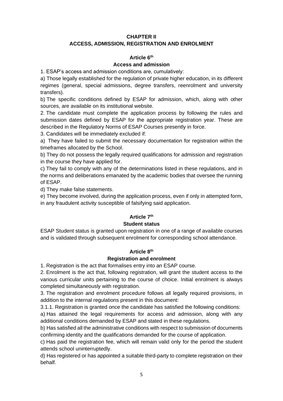# **CHAPTER II ACCESS, ADMISSION, REGISTRATION AND ENROLMENT**

## **Article 6th**

#### **Access and admission**

1. ESAP's access and admission conditions are, cumulatively:

a) Those legally established for the regulation of private higher education, in its different regimes (general, special admissions, degree transfers, reenrolment and university transfers).

b) The specific conditions defined by ESAP for admission, which, along with other sources, are available on its institutional website.

2. The candidate must complete the application process by following the rules and submission dates defined by ESAP for the appropriate registration year. These are described in the Regulatory Norms of ESAP Courses presently in force.

3. Candidates will be immediately excluded if:

a) They have failed to submit the necessary documentation for registration within the timeframes allocated by the School.

b) They do not possess the legally required qualifications for admission and registration in the course they have applied for.

c) They fail to comply with any of the determinations listed in these regulations, and in the norms and deliberations emanated by the academic bodies that oversee the running of ESAP.

d) They make false statements.

e) They become involved, during the application process, even if only in attempted form, in any fraudulent activity susceptible of falsifying said application.

#### **Article 7th**

#### **Student status**

ESAP Student status is granted upon registration in one of a range of available courses and is validated through subsequent enrolment for corresponding school attendance.

#### **Article 8th**

#### **Registration and enrolment**

1. Registration is the act that formalises entry into an ESAP course.

2. Enrolment is the act that, following registration, will grant the student access to the various curricular units pertaining to the course of choice. Initial enrolment is always completed simultaneously with registration.

3. The registration and enrolment procedure follows all legally required provisions, in addition to the internal regulations present in this document:

3.1.1. Registration is granted once the candidate has satisfied the following conditions:

a) Has attained the legal requirements for access and admission, along with any additional conditions demanded by ESAP and stated in these regulations.

b) Has satisfied all the administrative conditions with respect to submission of documents confirming identity and the qualifications demanded for the course of application.

c) Has paid the registration fee, which will remain valid only for the period the student attends school uninterruptedly.

d) Has registered or has appointed a suitable third-party to complete registration on their behalf.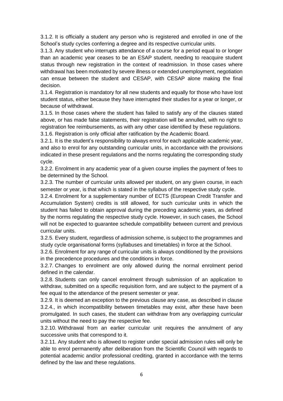3.1.2. It is officially a student any person who is registered and enrolled in one of the School's study cycles conferring a degree and its respective curricular units.

3.1.3. Any student who interrupts attendance of a course for a period equal to or longer than an academic year ceases to be an ESAP student, needing to reacquire student status through new registration in the context of readmission. In those cases where withdrawal has been motivated by severe illness or extended unemployment, negotiation can ensue between the student and CESAP, with CESAP alone making the final decision.

3.1.4. Registration is mandatory for all new students and equally for those who have lost student status, either because they have interrupted their studies for a year or longer, or because of withdrawal.

3.1.5. In those cases where the student has failed to satisfy any of the clauses stated above, or has made false statements, their registration will be annulled, with no right to registration fee reimbursements, as with any other case identified by these regulations. 3.1.6. Registration is only official after ratification by the Academic Board.

3.2.1. It is the student's responsibility to always enrol for each applicable academic year, and also to enrol for any outstanding curricular units, in accordance with the provisions indicated in these present regulations and the norms regulating the corresponding study cycle.

3.2.2. Enrolment in any academic year of a given course implies the payment of fees to be determined by the School.

3.2.3. The number of curricular units allowed per student, on any given course, in each semester or year, is that which is stated in the syllabus of the respective study cycle.

3.2.4. Enrolment for a supplementary number of ECTS (European Credit Transfer and Accumulation System) credits is still allowed, for such curricular units in which the student has failed to obtain approval during the preceding academic years, as defined by the norms regulating the respective study cycle. However, in such cases, the School will not be expected to guarantee schedule compatibility between current and previous curricular units.

3.2.5. Every student, regardless of admission scheme, is subject to the programmes and study cycle organisational forms (syllabuses and timetables) in force at the School.

3.2.6. Enrolment for any range of curricular units is always conditioned by the provisions in the precedence procedures and the conditions in force.

3.2.7. Changes to enrolment are only allowed during the normal enrolment period defined in the calendar.

3.2.8. Students can only cancel enrolment through submission of an application to withdraw, submitted on a specific requisition form, and are subject to the payment of a fee equal to the attendance of the present semester or year.

3.2.9. It is deemed an exception to the previous clause any case, as described in clause 3.2.4., in which incompatibility between timetables may exist, after these have been promulgated. In such cases, the student can withdraw from any overlapping curricular units without the need to pay the respective fee.

3.2.10. Withdrawal from an earlier curricular unit requires the annulment of any successive units that correspond to it.

3.2.11. Any student who is allowed to register under special admission rules will only be able to enrol permanently after deliberation from the Scientific Council with regards to potential academic and/or professional crediting, granted in accordance with the terms defined by the law and these regulations.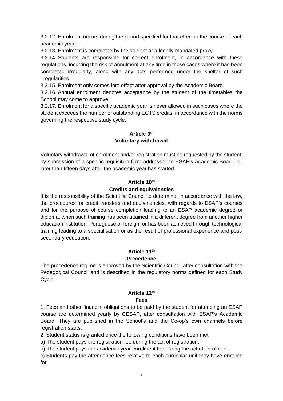3.2.12. Enrolment occurs during the period specified for that effect in the course of each academic year.

3.2.13. Enrolment is completed by the student or a legally mandated proxy.

3.2.14. Students are responsible for correct enrolment, in accordance with these regulations, incurring the risk of annulment at any time in those cases where it has been completed irregularly, along with any acts performed under the shelter of such irregularities.

3.2.15. Enrolment only comes into effect after approval by the Academic Board.

3.2.16. Annual enrolment denotes acceptance by the student of the timetables the School may come to approve.

3.2.17. Enrolment for a specific academic year is never allowed in such cases where the student exceeds the number of outstanding ECTS credits, in accordance with the norms governing the respective study cycle.

# **Article 9 th Voluntary withdrawal**

Voluntary withdrawal of enrolment and/or registration must be requested by the student, by submission of a specific requisition form addressed to ESAP's Academic Board, no later than fifteen days after the academic year has started.

# **Article 10th Credits and equivalencies**

It is the responsibility of the Scientific Council to determine, in accordance with the law, the procedures for credit transfers and equivalencies, with regards to ESAP's courses and for the purpose of course completion leading to an ESAP academic degree or diploma, when such training has been attained in a different degree from another higher education institution, Portuguese or foreign, or has been achieved through technological training leading to a specialisation or as the result of professional experience and postsecondary education.

## **Article 11th Precedence**

The precedence regime is approved by the Scientific Council after consultation with the Pedagogical Council and is described in the regulatory norms defined for each Study Cycle.

# **Article 12th**

# **Fees**

1. Fees and other financial obligations to be paid by the student for attending an ESAP course are determined yearly by CESAP, after consultation with ESAP's Academic Board. They are published in the School's and the Co-op's own channels before registration starts.

2. Student status is granted once the following conditions have been met:

a) The student pays the registration fee during the act of registration.

b) The student pays the academic year enrolment fee during the act of enrolment.

c) Students pay the attendance fees relative to each curricular unit they have enrolled for.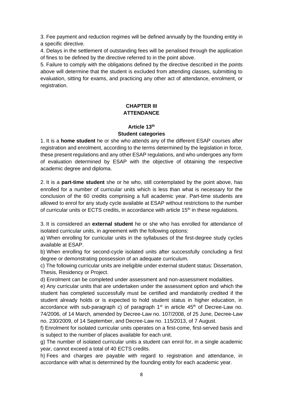3. Fee payment and reduction regimes will be defined annually by the founding entity in a specific directive.

4. Delays in the settlement of outstanding fees will be penalised through the application of fines to be defined by the directive referred to in the point above.

5. Failure to comply with the obligations defined by the directive described in the points above will determine that the student is excluded from attending classes, submitting to evaluation, sitting for exams, and practicing any other act of attendance, enrolment, or registration.

# **CHAPTER III ATTENDANCE**

#### **Article 13th Student categories**

1. It is a **home student** he or she who attends any of the different ESAP courses after registration and enrolment, according to the terms determined by the legislation in force, these present regulations and any other ESAP regulations, and who undergoes any form of evaluation determined by ESAP with the objective of obtaining the respective academic degree and diploma.

2. It is a **part-time student** she or he who, still contemplated by the point above, has enrolled for a number of curricular units which is less than what is necessary for the conclusion of the 60 credits comprising a full academic year. Part-time students are allowed to enrol for any study cycle available at ESAP without restrictions to the number of curricular units or ECTS credits, in accordance with article 15<sup>th</sup> in these regulations.

3. It is considered an **external student** he or she who has enrolled for attendance of isolated curricular units, in agreement with the following options:

a) When enrolling for curricular units in the syllabuses of the first-degree study cycles available at ESAP.

b) When enrolling for second-cycle isolated units after successfully concluding a first degree or demonstrating possession of an adequate curriculum.

c) The following curricular units are ineligible under external student status: Dissertation, Thesis, Residency or Project.

d) Enrolment can be completed under assessment and non-assessment modalities.

e) Any curricular units that are undertaken under the assessment option and which the student has completed successfully must be certified and mandatorily credited if the student already holds or is expected to hold student status in higher education, in accordance with sub-paragraph c) of paragraph  $1<sup>st</sup>$  in article 45<sup>th</sup> of Decree-Law no. 74/2006, of 14 March, amended by Decree-Law no. 107/2008, of 25 June, Decree-Law no. 230/2009, of 14 September, and Decree-Law no. 115/2013, of 7 August.

f) Enrolment for isolated curricular units operates on a first-come, first-served basis and is subject to the number of places available for each unit.

g) The number of isolated curricular units a student can enrol for, in a single academic year, cannot exceed a total of 40 ECTS credits.

h) Fees and charges are payable with regard to registration and attendance, in accordance with what is determined by the founding entity for each academic year.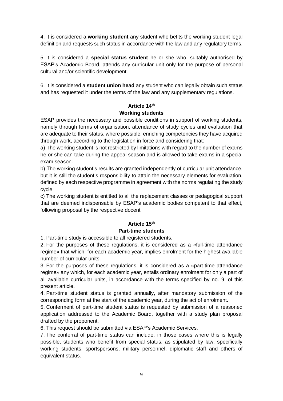4. It is considered a **working student** any student who befits the working student legal definition and requests such status in accordance with the law and any regulatory terms.

5. It is considered a **special status student** he or she who, suitably authorised by ESAP's Academic Board, attends any curricular unit only for the purpose of personal cultural and/or scientific development.

6. It is considered a **student union head** any student who can legally obtain such status and has requested it under the terms of the law and any supplementary regulations.

# **Article 14th Working students**

ESAP provides the necessary and possible conditions in support of working students, namely through forms of organisation, attendance of study cycles and evaluation that are adequate to their status, where possible, enriching competencies they have acquired through work, according to the legislation in force and considering that:

a) The working student is not restricted by limitations with regard to the number of exams he or she can take during the appeal season and is allowed to take exams in a special exam season.

b) The working student's results are granted independently of curricular unit attendance, but it is still the student's responsibility to attain the necessary elements for evaluation, defined by each respective programme in agreement with the norms regulating the study cycle.

c) The working student is entitled to all the replacement classes or pedagogical support that are deemed indispensable by ESAP's academic bodies competent to that effect, following proposal by the respective docent.

# **Article 15th**

# **Part-time students**

1. Part-time study is accessible to all registered students.

2. For the purposes of these regulations, it is considered as a «full-time attendance regime» that which, for each academic year, implies enrolment for the highest available number of curricular units.

3. For the purposes of these regulations, it is considered as a «part-time attendance regime» any which, for each academic year, entails ordinary enrolment for only a part of all available curricular units, in accordance with the terms specified by no. 9. of this present article.

4. Part-time student status is granted annually, after mandatory submission of the corresponding form at the start of the academic year, during the act of enrolment.

5. Conferment of part-time student status is requested by submission of a reasoned application addressed to the Academic Board, together with a study plan proposal drafted by the proponent.

6. This request should be submitted via ESAP's Academic Services.

7. The conferral of part-time status can include, in those cases where this is legally possible, students who benefit from special status, as stipulated by law, specifically working students, sportspersons, military personnel, diplomatic staff and others of equivalent status.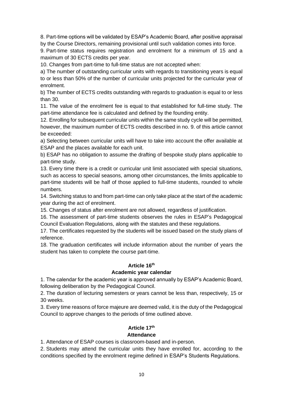8. Part-time options will be validated by ESAP's Academic Board, after positive appraisal by the Course Directors, remaining provisional until such validation comes into force.

9. Part-time status requires registration and enrolment for a minimum of 15 and a maximum of 30 ECTS credits per year.

10. Changes from part-time to full-time status are not accepted when:

a) The number of outstanding curricular units with regards to transitioning years is equal to or less than 50% of the number of curricular units projected for the curricular year of enrolment.

b) The number of ECTS credits outstanding with regards to graduation is equal to or less than 30.

11. The value of the enrolment fee is equal to that established for full-time study. The part-time attendance fee is calculated and defined by the founding entity.

12. Enrolling for subsequent curricular units within the same study cycle will be permitted, however, the maximum number of ECTS credits described in no. 9. of this article cannot be exceeded:

a) Selecting between curricular units will have to take into account the offer available at ESAP and the places available for each unit.

b) ESAP has no obligation to assume the drafting of bespoke study plans applicable to part-time study.

13. Every time there is a credit or curricular unit limit associated with special situations, such as access to special seasons, among other circumstances, the limits applicable to part-time students will be half of those applied to full-time students, rounded to whole numbers.

14. Switching status to and from part-time can only take place at the start of the academic year during the act of enrolment.

15. Changes of status after enrolment are not allowed, regardless of justification.

16. The assessment of part-time students observes the rules in ESAP's Pedagogical Council Evaluation Regulations, along with the statutes and these regulations.

17. The certificates requested by the students will be issued based on the study plans of reference.

18. The graduation certificates will include information about the number of years the student has taken to complete the course part-time.

# **Article 16th**

# **Academic year calendar**

1. The calendar for the academic year is approved annually by ESAP's Academic Board, following deliberation by the Pedagogical Council.

2. The duration of lecturing semesters or years cannot be less than, respectively, 15 or 30 weeks.

3. Every time reasons of force majeure are deemed valid, it is the duty of the Pedagogical Council to approve changes to the periods of time outlined above.

# **Article 17th**

# **Attendance**

1. Attendance of ESAP courses is classroom-based and in-person.

2. Students may attend the curricular units they have enrolled for, according to the conditions specified by the enrolment regime defined in ESAP's Students Regulations.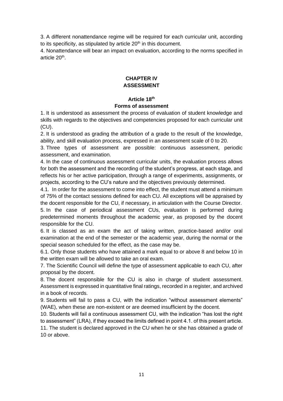3. A different nonattendance regime will be required for each curricular unit, according to its specificity, as stipulated by article  $20<sup>th</sup>$  in this document.

4. Nonattendance will bear an impact on evaluation, according to the norms specified in article 20<sup>th</sup>.

#### **CHAPTER IV ASSESSMENT**

# **Article 18th**

#### **Forms of assessment**

1. It is understood as assessment the process of evaluation of student knowledge and skills with regards to the objectives and competencies proposed for each curricular unit (CU).

2. It is understood as grading the attribution of a grade to the result of the knowledge, ability, and skill evaluation process, expressed in an assessment scale of 0 to 20.

3. Three types of assessment are possible: continuous assessment, periodic assessment, and examination.

4. In the case of continuous assessment curricular units, the evaluation process allows for both the assessment and the recording of the student's progress, at each stage, and reflects his or her active participation, through a range of experiments, assignments, or projects, according to the CU's nature and the objectives previously determined.

4.1. In order for the assessment to come into effect, the student must attend a minimum of 75% of the contact sessions defined for each CU. All exceptions will be appraised by the docent responsible for the CU, if necessary, in articulation with the Course Director.

5. In the case of periodical assessment CUs, evaluation is performed during predetermined moments throughout the academic year, as proposed by the docent responsible for the CU.

6. It is classed as an exam the act of taking written, practice-based and/or oral examination at the end of the semester or the academic year, during the normal or the special season scheduled for the effect, as the case may be.

6.1. Only those students who have attained a mark equal to or above 8 and below 10 in the written exam will be allowed to take an oral exam.

7. The Scientific Council will define the type of assessment applicable to each CU, after proposal by the docent.

8. The docent responsible for the CU is also in charge of student assessment. Assessment is expressed in quantitative final ratings, recorded in a register, and archived in a book of records.

9. Students will fail to pass a CU, with the indication "without assessment elements" (WAE), when these are non-existent or are deemed insufficient by the docent.

10. Students will fail a continuous assessment CU, with the indication "has lost the right to assessment" (LRA), if they exceed the limits defined in point 4.1. of this present article.

11. The student is declared approved in the CU when he or she has obtained a grade of 10 or above.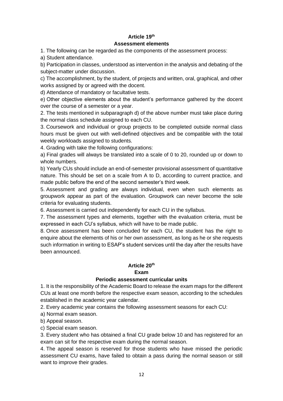# **Article 19th Assessment elements**

1. The following can be regarded as the components of the assessment process:

a) Student attendance.

b) Participation in classes, understood as intervention in the analysis and debating of the subject-matter under discussion.

c) The accomplishment, by the student, of projects and written, oral, graphical, and other works assigned by or agreed with the docent.

d) Attendance of mandatory or facultative tests.

e) Other objective elements about the student's performance gathered by the docent over the course of a semester or a year.

2. The tests mentioned in subparagraph d) of the above number must take place during the normal class schedule assigned to each CU.

3. Coursework and individual or group projects to be completed outside normal class hours must be given out with well-defined objectives and be compatible with the total weekly workloads assigned to students.

4. Grading with take the following configurations:

a) Final grades will always be translated into a scale of 0 to 20, rounded up or down to whole numbers.

b) Yearly CUs should include an end-of-semester provisional assessment of quantitative nature. This should be set on a scale from A to D, according to current practice, and made public before the end of the second semester's third week.

5. Assessment and grading are always individual, even when such elements as groupwork appear as part of the evaluation. Groupwork can never become the sole criteria for evaluating students.

6. Assessment is carried out independently for each CU in the syllabus.

7. The assessment types and elements, together with the evaluation criteria, must be expressed in each CU's syllabus, which will have to be made public.

8. Once assessment has been concluded for each CU, the student has the right to enquire about the elements of his or her own assessment, as long as he or she requests such information in writing to ESAP's student services until the day after the results have been announced.

# **Article 20th**

# **Exam**

# **Periodic assessment curricular units**

1. It is the responsibility of the Academic Board to release the exam maps for the different CUs at least one month before the respective exam season, according to the schedules established in the academic year calendar.

2. Every academic year contains the following assessment seasons for each CU:

a) Normal exam season.

b) Appeal season.

c) Special exam season.

3. Every student who has obtained a final CU grade below 10 and has registered for an exam can sit for the respective exam during the normal season.

4. The appeal season is reserved for those students who have missed the periodic assessment CU exams, have failed to obtain a pass during the normal season or still want to improve their grades.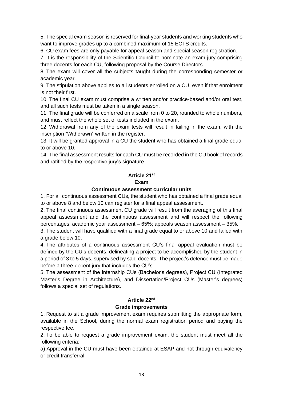5. The special exam season is reserved for final-year students and working students who want to improve grades up to a combined maximum of 15 ECTS credits.

6. CU exam fees are only payable for appeal season and special season registration.

7. It is the responsibility of the Scientific Council to nominate an exam jury comprising three docents for each CU, following proposal by the Course Directors.

8. The exam will cover all the subjects taught during the corresponding semester or academic year.

9. The stipulation above applies to all students enrolled on a CU, even if that enrolment is not their first.

10. The final CU exam must comprise a written and/or practice-based and/or oral test, and all such tests must be taken in a single season.

11. The final grade will be conferred on a scale from 0 to 20, rounded to whole numbers, and must reflect the whole set of tests included in the exam.

12. Withdrawal from any of the exam tests will result in failing in the exam, with the inscription "Withdrawn" written in the register.

13. It will be granted approval in a CU the student who has obtained a final grade equal to or above 10.

14. The final assessment results for each CU must be recorded in the CU book of records and ratified by the respective jury's signature.

# **Article 21st**

# **Exam**

# **Continuous assessment curricular units**

1. For all continuous assessment CUs, the student who has obtained a final grade equal to or above 8 and below 10 can register for a final appeal assessment.

2. The final continuous assessment CU grade will result from the averaging of this final appeal assessment and the continuous assessment and will respect the following percentages: academic year assessment – 65%; appeals season assessment – 35%.

3. The student will have qualified with a final grade equal to or above 10 and failed with a grade below 10.

4. The attributes of a continuous assessment CU's final appeal evaluation must be defined by the CU's docents, delineating a project to be accomplished by the student in a period of 3 to 5 days, supervised by said docents. The project's defence must be made before a three-docent jury that includes the CU's.

5. The assessment of the Internship CUs (Bachelor's degrees), Project CU (Integrated Master's Degree in Architecture), and Dissertation/Project CUs (Master's degrees) follows a special set of regulations.

# **Article 22nd**

# **Grade improvements**

1. Request to sit a grade improvement exam requires submitting the appropriate form, available in the School, during the normal exam registration period and paying the respective fee.

2. To be able to request a grade improvement exam, the student must meet all the following criteria:

a) Approval in the CU must have been obtained at ESAP and not through equivalency or credit transferral.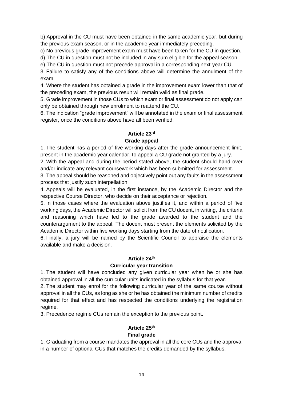b) Approval in the CU must have been obtained in the same academic year, but during the previous exam season, or in the academic year immediately preceding.

c) No previous grade improvement exam must have been taken for the CU in question.

d) The CU in question must not be included in any sum eligible for the appeal season.

e) The CU in question must not precede approval in a corresponding next-year CU.

3. Failure to satisfy any of the conditions above will determine the annulment of the exam.

4. Where the student has obtained a grade in the improvement exam lower than that of the preceding exam, the previous result will remain valid as final grade.

5. Grade improvement in those CUs to which exam or final assessment do not apply can only be obtained through new enrolment to reattend the CU.

6. The indication "grade improvement" will be annotated in the exam or final assessment register, once the conditions above have all been verified.

# **Article 23rd**

# **Grade appeal**

1. The student has a period of five working days after the grade announcement limit, present in the academic year calendar, to appeal a CU grade not granted by a jury.

2. With the appeal and during the period stated above, the student should hand over and/or indicate any relevant coursework which has been submitted for assessment.

3. The appeal should be reasoned and objectively point out any faults in the assessment process that justify such interpellation.

4. Appeals will be evaluated, in the first instance, by the Academic Director and the respective Course Director, who decide on their acceptance or rejection.

5. In those cases where the evaluation above justifies it, and within a period of five working days, the Academic Director will solicit from the CU docent, in writing, the criteria and reasoning which have led to the grade awarded to the student and the counterargument to the appeal. The docent must present the elements solicited by the Academic Director within five working days starting from the date of notification.

6. Finally, a jury will be named by the Scientific Council to appraise the elements available and make a decision.

# **Article 24th**

#### **Curricular year transition**

1. The student will have concluded any given curricular year when he or she has obtained approval in all the curricular units indicated in the syllabus for that year.

2. The student may enrol for the following curricular year of the same course without approval in all the CUs, as long as she or he has obtained the minimum number of credits required for that effect and has respected the conditions underlying the registration regime.

3. Precedence regime CUs remain the exception to the previous point.

# **Article 25th**

# **Final grade**

1. Graduating from a course mandates the approval in all the core CUs and the approval in a number of optional CUs that matches the credits demanded by the syllabus.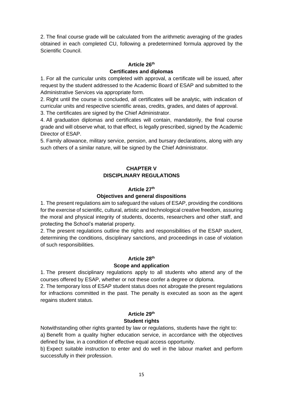2. The final course grade will be calculated from the arithmetic averaging of the grades obtained in each completed CU, following a predetermined formula approved by the Scientific Council.

#### **Article 26th Certificates and diplomas**

1. For all the curricular units completed with approval, a certificate will be issued, after request by the student addressed to the Academic Board of ESAP and submitted to the Administrative Services via appropriate form.

2. Right until the course is concluded, all certificates will be analytic, with indication of curricular units and respective scientific areas, credits, grades, and dates of approval.

3. The certificates are signed by the Chief Administrator.

4. All graduation diplomas and certificates will contain, mandatorily, the final course grade and will observe what, to that effect, is legally prescribed, signed by the Academic Director of ESAP.

5. Family allowance, military service, pension, and bursary declarations, along with any such others of a similar nature, will be signed by the Chief Administrator.

# **CHAPTER V DISCIPLINARY REGULATIONS**

# **Article 27th**

# **Objectives and general dispositions**

1. The present regulations aim to safeguard the values of ESAP, providing the conditions for the exercise of scientific, cultural, artistic and technological creative freedom, assuring the moral and physical integrity of students, docents, researchers and other staff, and protecting the School's material property.

2. The present regulations outline the rights and responsibilities of the ESAP student, determining the conditions, disciplinary sanctions, and proceedings in case of violation of such responsibilities.

# **Article 28th**

# **Scope and application**

1. The present disciplinary regulations apply to all students who attend any of the courses offered by ESAP, whether or not these confer a degree or diploma.

2. The temporary loss of ESAP student status does not abrogate the present regulations for infractions committed in the past. The penalty is executed as soon as the agent regains student status.

# **Article 29th Student rights**

Notwithstanding other rights granted by law or regulations, students have the right to: a) Benefit from a quality higher education service, in accordance with the objectives defined by law, in a condition of effective equal access opportunity.

b) Expect suitable instruction to enter and do well in the labour market and perform successfully in their profession.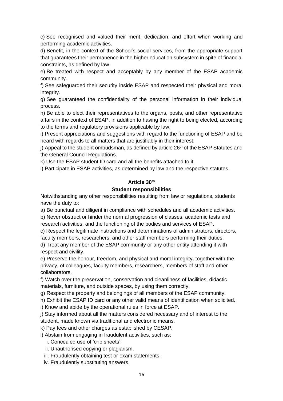c) See recognised and valued their merit, dedication, and effort when working and performing academic activities.

d) Benefit, in the context of the School's social services, from the appropriate support that guarantees their permanence in the higher education subsystem in spite of financial constraints, as defined by law.

e) Be treated with respect and acceptably by any member of the ESAP academic community.

f) See safeguarded their security inside ESAP and respected their physical and moral integrity.

g) See guaranteed the confidentiality of the personal information in their individual process.

h) Be able to elect their representatives to the organs, posts, and other representative affairs in the context of ESAP, in addition to having the right to being elected, according to the terms and regulatory provisions applicable by law.

i) Present appreciations and suggestions with regard to the functioning of ESAP and be heard with regards to all matters that are justifiably in their interest.

 $j$ ) Appeal to the student ombudsman, as defined by article 26<sup>th</sup> of the ESAP Statutes and the General Council Regulations.

k) Use the ESAP student ID card and all the benefits attached to it.

l) Participate in ESAP activities, as determined by law and the respective statutes.

## **Article 30th**

## **Student responsibilities**

Notwithstanding any other responsibilities resulting from law or regulations, students have the duty to:

a) Be punctual and diligent in compliance with schedules and all academic activities. b) Never obstruct or hinder the normal progression of classes, academic tests and

research activities, and the functioning of the bodies and services of ESAP. c) Respect the legitimate instructions and determinations of administrators, directors,

faculty members, researchers, and other staff members performing their duties.

d) Treat any member of the ESAP community or any other entity attending it with respect and civility.

e) Preserve the honour, freedom, and physical and moral integrity, together with the privacy, of colleagues, faculty members, researchers, members of staff and other collaborators.

f) Watch over the preservation, conservation and cleanliness of facilities, didactic materials, furniture, and outside spaces, by using them correctly.

g) Respect the property and belongings of all members of the ESAP community.

h) Exhibit the ESAP ID card or any other valid means of identification when solicited.

i) Know and abide by the operational rules in force at ESAP.

j) Stay informed about all the matters considered necessary and of interest to the student, made known via traditional and electronic means.

k) Pay fees and other charges as established by CESAP.

l) Abstain from engaging in fraudulent activities, such as:

- i. Concealed use of 'crib sheets'.
- ii. Unauthorised copying or plagiarism.
- iii. Fraudulently obtaining test or exam statements.
- iv. Fraudulently substituting answers.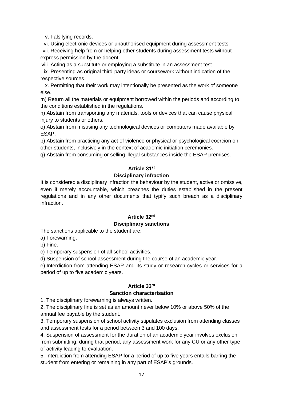v. Falsifying records.

vi. Using electronic devices or unauthorised equipment during assessment tests.

vii. Receiving help from or helping other students during assessment tests without express permission by the docent.

viii. Acting as a substitute or employing a substitute in an assessment test.

ix. Presenting as original third-party ideas or coursework without indication of the respective sources.

x. Permitting that their work may intentionally be presented as the work of someone else.

m) Return all the materials or equipment borrowed within the periods and according to the conditions established in the regulations.

n) Abstain from transporting any materials, tools or devices that can cause physical injury to students or others.

o) Abstain from misusing any technological devices or computers made available by ESAP.

p) Abstain from practicing any act of violence or physical or psychological coercion on other students, inclusively in the context of academic initiation ceremonies.

q) Abstain from consuming or selling illegal substances inside the ESAP premises.

## **Article 31st**

## **Disciplinary infraction**

It is considered a disciplinary infraction the behaviour by the student, active or omissive, even if merely accountable, which breaches the duties established in the present regulations and in any other documents that typify such breach as a disciplinary infraction.

# **Article 32nd**

#### **Disciplinary sanctions**

The sanctions applicable to the student are:

a) Forewarning.

b) Fine.

c) Temporary suspension of all school activities.

d) Suspension of school assessment during the course of an academic year.

e) Interdiction from attending ESAP and its study or research cycles or services for a period of up to five academic years.

# **Article 33rd**

#### **Sanction characterisation**

1. The disciplinary forewarning is always written.

2. The disciplinary fine is set as an amount never below 10% or above 50% of the annual fee payable by the student.

3. Temporary suspension of school activity stipulates exclusion from attending classes and assessment tests for a period between 3 and 100 days.

4. Suspension of assessment for the duration of an academic year involves exclusion from submitting, during that period, any assessment work for any CU or any other type of activity leading to evaluation.

5. Interdiction from attending ESAP for a period of up to five years entails barring the student from entering or remaining in any part of ESAP's grounds.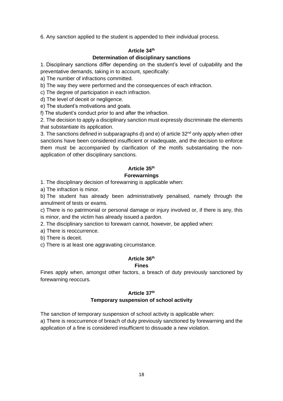6. Any sanction applied to the student is appended to their individual process.

# **Article 34th**

## **Determination of disciplinary sanctions**

1. Disciplinary sanctions differ depending on the student's level of culpability and the preventative demands, taking in to account, specifically:

a) The number of infractions committed.

b) The way they were performed and the consequences of each infraction.

c) The degree of participation in each infraction.

d) The level of deceit or negligence.

e) The student's motivations and goals.

f) The student's conduct prior to and after the infraction.

2. The decision to apply a disciplinary sanction must expressly discriminate the elements that substantiate its application.

3. The sanctions defined in subparagraphs d) and  $e$ ) of article 32<sup>nd</sup> only apply when other sanctions have been considered insufficient or inadequate, and the decision to enforce them must be accompanied by clarification of the motifs substantiating the nonapplication of other disciplinary sanctions.

# **Article 35th**

# **Forewarnings**

1. The disciplinary decision of forewarning is applicable when:

a) The infraction is minor.

b) The student has already been administratively penalised, namely through the annulment of tests or exams.

c) There is no patrimonial or personal damage or injury involved or, if there is any, this is minor, and the victim has already issued a pardon.

2. The disciplinary sanction to forewarn cannot, however, be applied when:

a) There is reoccurrence.

b) There is deceit.

c) There is at least one aggravating circumstance.

# **Article 36th**

#### **Fines**

Fines apply when, amongst other factors, a breach of duty previously sanctioned by forewarning reoccurs.

# **Article 37th**

# **Temporary suspension of school activity**

The sanction of temporary suspension of school activity is applicable when: a) There is reoccurrence of breach of duty previously sanctioned by forewarning and the application of a fine is considered insufficient to dissuade a new violation.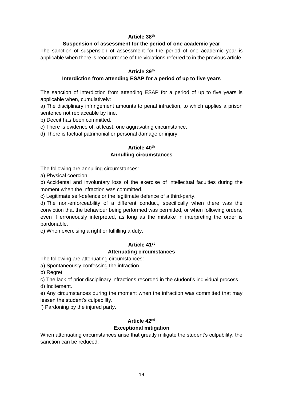## **Article 38 th**

# **Suspension of assessment for the period of one academic year**

The sanction of suspension of assessment for the period of one academic year is applicable when there is reoccurrence of the violations referred to in the previous article.

#### **Article 39th**

# **Interdiction from attending ESAP for a period of up to five years**

The sanction of interdiction from attending ESAP for a period of up to five years is applicable when, cumulatively:

a) The disciplinary infringement amounts to penal infraction, to which applies a prison sentence not replaceable by fine.

b) Deceit has been committed.

c) There is evidence of, at least, one aggravating circumstance.

d) There is factual patrimonial or personal damage or injury.

# **Article 40th Annulling circumstances**

The following are annulling circumstances:

a) Physical coercion.

b) Accidental and involuntary loss of the exercise of intellectual faculties during the moment when the infraction was committed.

c) Legitimate self-defence or the legitimate defence of a third-party.

d) The non-enforceability of a different conduct, specifically when there was the conviction that the behaviour being performed was permitted, or when following orders, even if erroneously interpreted, as long as the mistake in interpreting the order is pardonable.

e) When exercising a right or fulfilling a duty.

#### **Article 41st**

#### **Attenuating circumstances**

The following are attenuating circumstances:

a) Spontaneously confessing the infraction.

b) Regret.

c) The lack of prior disciplinary infractions recorded in the student's individual process.

d) Incitement.

e) Any circumstances during the moment when the infraction was committed that may lessen the student's culpability.

f) Pardoning by the injured party.

# **Article 42nd**

# **Exceptional mitigation**

When attenuating circumstances arise that greatly mitigate the student's culpability, the sanction can be reduced.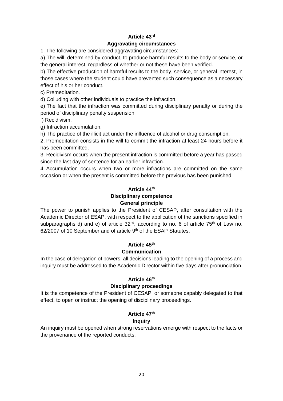# **Article 43rd**

# **Aggravating circumstances**

1. The following are considered aggravating circumstances:

a) The will, determined by conduct, to produce harmful results to the body or service, or the general interest, regardless of whether or not these have been verified.

b) The effective production of harmful results to the body, service, or general interest, in those cases where the student could have prevented such consequence as a necessary effect of his or her conduct.

c) Premeditation.

d) Colluding with other individuals to practice the infraction.

e) The fact that the infraction was committed during disciplinary penalty or during the period of disciplinary penalty suspension.

f) Recidivism.

g) Infraction accumulation.

h) The practice of the illicit act under the influence of alcohol or drug consumption.

2. Premeditation consists in the will to commit the infraction at least 24 hours before it has been committed.

3. Recidivism occurs when the present infraction is committed before a year has passed since the last day of sentence for an earlier infraction.

4. Accumulation occurs when two or more infractions are committed on the same occasion or when the present is committed before the previous has been punished.

# **Article 44th**

#### **Disciplinary competence General principle**

The power to punish applies to the President of CESAP, after consultation with the Academic Director of ESAP, with respect to the application of the sanctions specified in subparagraphs d) and e) of article  $32<sup>nd</sup>$ , according to no. 6 of article  $75<sup>th</sup>$  of Law no. 62/2007 of 10 September and of article 9<sup>th</sup> of the ESAP Statutes.

# **Article 45th**

# **Communication**

In the case of delegation of powers, all decisions leading to the opening of a process and inquiry must be addressed to the Academic Director within five days after pronunciation.

# **Article 46th**

# **Disciplinary proceedings**

It is the competence of the President of CESAP, or someone capably delegated to that effect, to open or instruct the opening of disciplinary proceedings.

# **Article 47th**

# **Inquiry**

An inquiry must be opened when strong reservations emerge with respect to the facts or the provenance of the reported conducts.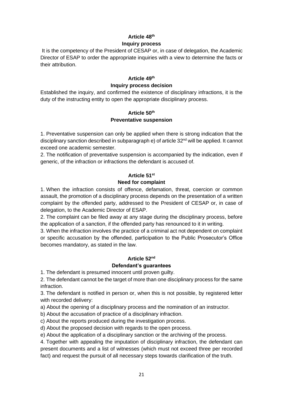# **Article 48th Inquiry process**

It is the competency of the President of CESAP or, in case of delegation, the Academic Director of ESAP to order the appropriate inquiries with a view to determine the facts or their attribution.

# **Article 49th Inquiry process decision**

Established the inquiry, and confirmed the existence of disciplinary infractions, it is the duty of the instructing entity to open the appropriate disciplinary process.

# **Article 50th Preventative suspension**

1. Preventative suspension can only be applied when there is strong indication that the disciplinary sanction described in subparagraph e) of article 32<sup>nd</sup> will be applied. It cannot exceed one academic semester.

2. The notification of preventative suspension is accompanied by the indication, even if generic, of the infraction or infractions the defendant is accused of.

# **Article 51st**

# **Need for complaint**

1. When the infraction consists of offence, defamation, threat, coercion or common assault, the promotion of a disciplinary process depends on the presentation of a written complaint by the offended party, addressed to the President of CESAP or, in case of delegation, to the Academic Director of ESAP.

2. The complaint can be filed away at any stage during the disciplinary process, before the application of a sanction, if the offended party has renounced to it in writing.

3. When the infraction involves the practice of a criminal act not dependent on complaint or specific accusation by the offended, participation to the Public Prosecutor's Office becomes mandatory, as stated in the law.

# **Article 52nd Defendant's guarantees**

1. The defendant is presumed innocent until proven guilty.

2. The defendant cannot be the target of more than one disciplinary process for the same infraction.

3. The defendant is notified in person or, when this is not possible, by registered letter with recorded delivery:

a) About the opening of a disciplinary process and the nomination of an instructor.

b) About the accusation of practice of a disciplinary infraction.

c) About the reports produced during the investigation process.

d) About the proposed decision with regards to the open process.

e) About the application of a disciplinary sanction or the archiving of the process.

4. Together with appealing the imputation of disciplinary infraction, the defendant can present documents and a list of witnesses (which must not exceed three per recorded fact) and request the pursuit of all necessary steps towards clarification of the truth.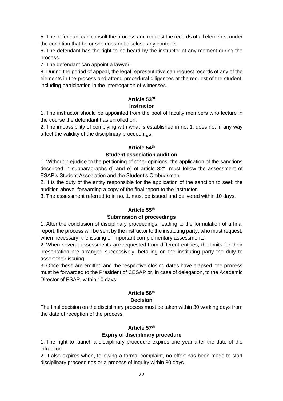5. The defendant can consult the process and request the records of all elements, under the condition that he or she does not disclose any contents.

6. The defendant has the right to be heard by the instructor at any moment during the process.

7. The defendant can appoint a lawyer.

8. During the period of appeal, the legal representative can request records of any of the elements in the process and attend procedural diligences at the request of the student, including participation in the interrogation of witnesses.

# **Article 53rd**

# **Instructor**

1. The instructor should be appointed from the pool of faculty members who lecture in the course the defendant has enrolled on.

2. The impossibility of complying with what is established in no. 1. does not in any way affect the validity of the disciplinary proceedings.

# **Article 54th**

# **Student association audition**

1. Without prejudice to the petitioning of other opinions, the application of the sanctions described in subparagraphs d) and  $e$ ) of article  $32<sup>nd</sup>$  must follow the assessment of ESAP's Student Association and the Student's Ombudsman.

2. It is the duty of the entity responsible for the application of the sanction to seek the audition above, forwarding a copy of the final report to the instructor.

3. The assessment referred to in no. 1. must be issued and delivered within 10 days.

# **Article 55th**

# **Submission of proceedings**

1. After the conclusion of disciplinary proceedings, leading to the formulation of a final report, the process will be sent by the instructor to the instituting party, who must request, when necessary, the issuing of important complementary assessments.

2. When several assessments are requested from different entities, the limits for their presentation are arranged successively, befalling on the instituting party the duty to assort their issuing.

3. Once these are emitted and the respective closing dates have elapsed, the process must be forwarded to the President of CESAP or, in case of delegation, to the Academic Director of ESAP, within 10 days.

# **Article 56th**

# **Decision**

The final decision on the disciplinary process must be taken within 30 working days from the date of reception of the process.

# **Article 57th**

# **Expiry of disciplinary procedure**

1. The right to launch a disciplinary procedure expires one year after the date of the infraction.

2. It also expires when, following a formal complaint, no effort has been made to start disciplinary proceedings or a process of inquiry within 30 days.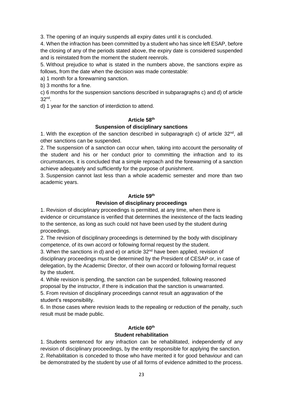3. The opening of an inquiry suspends all expiry dates until it is concluded.

4. When the infraction has been committed by a student who has since left ESAP, before the closing of any of the periods stated above, the expiry date is considered suspended and is reinstated from the moment the student reenrols.

5. Without prejudice to what is stated in the numbers above, the sanctions expire as follows, from the date when the decision was made contestable:

a) 1 month for a forewarning sanction.

b) 3 months for a fine.

c) 6 months for the suspension sanctions described in subparagraphs c) and d) of article 32 nd .

d) 1 year for the sanction of interdiction to attend.

## **Article 58th**

# **Suspension of disciplinary sanctions**

1. With the exception of the sanction described in subparagraph c) of article  $32<sup>nd</sup>$ , all other sanctions can be suspended.

2. The suspension of a sanction can occur when, taking into account the personality of the student and his or her conduct prior to committing the infraction and to its circumstances, it is concluded that a simple reproach and the forewarning of a sanction achieve adequately and sufficiently for the purpose of punishment.

3. Suspension cannot last less than a whole academic semester and more than two academic years.

## **Article 59th**

# **Revision of disciplinary proceedings**

1. Revision of disciplinary proceedings is permitted, at any time, when there is evidence or circumstance is verified that determines the inexistence of the facts leading to the sentence, as long as such could not have been used by the student during proceedings.

2. The revision of disciplinary proceedings is determined by the body with disciplinary competence, of its own accord or following formal request by the student.

3. When the sanctions in d) and  $e$ ) or article  $32<sup>nd</sup>$  have been applied, revision of disciplinary proceedings must be determined by the President of CESAP or, in case of delegation, by the Academic Director, of their own accord or following formal request by the student.

4. While revision is pending, the sanction can be suspended, following reasoned proposal by the instructor, if there is indication that the sanction is unwarranted. 5. From revision of disciplinary proceedings cannot result an aggravation of the

student's responsibility.

6. In those cases where revision leads to the repealing or reduction of the penalty, such result must be made public.

# **Article 60th**

# **Student rehabilitation**

1. Students sentenced for any infraction can be rehabilitated, independently of any revision of disciplinary proceedings, by the entity responsible for applying the sanction. 2. Rehabilitation is conceded to those who have merited it for good behaviour and can be demonstrated by the student by use of all forms of evidence admitted to the process.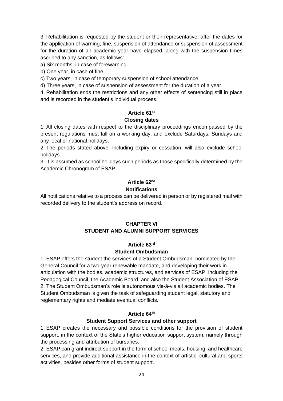3. Rehabilitation is requested by the student or their representative, after the dates for the application of warning, fine, suspension of attendance or suspension of assessment for the duration of an academic year have elapsed, along with the suspension times ascribed to any sanction, as follows:

a) Six months, in case of forewarning.

b) One year, in case of fine.

c) Two years, in case of temporary suspension of school attendance.

d) Three years, in case of suspension of assessment for the duration of a year.

4. Rehabilitation ends the restrictions and any other effects of sentencing still in place and is recorded in the student's individual process.

# **Article 61st Closing dates**

1. All closing dates with respect to the disciplinary proceedings encompassed by the present regulations must fall on a working day, and exclude Saturdays, Sundays and any local or national holidays.

2. The periods stated above, including expiry or cessation, will also exclude school holidays.

3. It is assumed as school holidays such periods as those specifically determined by the Academic Chronogram of ESAP.

# **Article 62nd Notifications**

All notifications relative to a process can be delivered in person or by registered mail with recorded delivery to the student's address on record.

# **CHAPTER VI STUDENT AND ALUMNI SUPPORT SERVICES**

# **Article 63rd**

# **Student Ombudsman**

1. ESAP offers the student the services of a Student Ombudsman, nominated by the General Council for a two-year renewable mandate, and developing their work in articulation with the bodies, academic structures, and services of ESAP, including the Pedagogical Council, the Academic Board, and also the Student Association of ESAP. 2. The Student Ombudsman's role is autonomous vis-à-vis all academic bodies. The Student Ombudsman is given the task of safeguarding student legal, statutory and reglementary rights and mediate eventual conflicts.

# **Article 64th**

# **Student Support Services and other support**

1. ESAP creates the necessary and possible conditions for the provision of student support, in the context of the State's higher education support system, namely through the processing and attribution of bursaries.

2. ESAP can grant indirect support in the form of school meals, housing, and healthcare services, and provide additional assistance in the context of artistic, cultural and sports activities, besides other forms of student support.